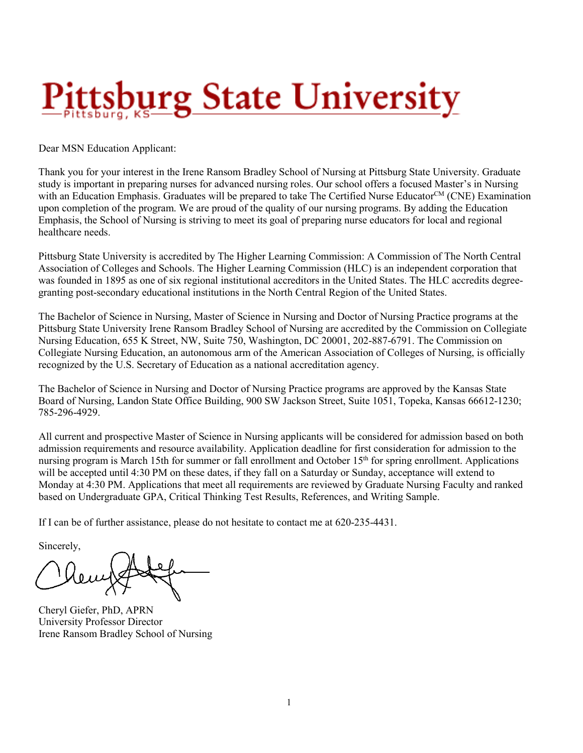# ttsb<u>urg State University</u>

Dear MSN Education Applicant:

Thank you for your interest in the Irene Ransom Bradley School of Nursing at Pittsburg State University. Graduate study is important in preparing nurses for advanced nursing roles. Our school offers a focused Master's in Nursing with an Education Emphasis. Graduates will be prepared to take The Certified Nurse Educator<sup>CM</sup> (CNE) Examination upon completion of the program. We are proud of the quality of our nursing programs. By adding the Education Emphasis, the School of Nursing is striving to meet its goal of preparing nurse educators for local and regional healthcare needs.

Pittsburg State University is accredited by The Higher Learning Commission: A Commission of The North Central Association of Colleges and Schools. The Higher Learning Commission (HLC) is an independent corporation that was founded in 1895 as one of six regional institutional accreditors in the United States. The HLC accredits degreegranting post-secondary educational institutions in the North Central Region of the United States.

The Bachelor of Science in Nursing, Master of Science in Nursing and Doctor of Nursing Practice programs at the Pittsburg State University Irene Ransom Bradley School of Nursing are accredited by the Commission on Collegiate Nursing Education, 655 K Street, NW, Suite 750, Washington, DC 20001, 202-887-6791. The Commission on Collegiate Nursing Education, an autonomous arm of the American Association of Colleges of Nursing, is officially recognized by the U.S. Secretary of Education as a national accreditation agency.

The Bachelor of Science in Nursing and Doctor of Nursing Practice programs are approved by the Kansas State Board of Nursing, Landon State Office Building, 900 SW Jackson Street, Suite 1051, Topeka, Kansas 66612-1230; 785-296-4929.

All current and prospective Master of Science in Nursing applicants will be considered for admission based on both admission requirements and resource availability. Application deadline for first consideration for admission to the nursing program is March 15th for summer or fall enrollment and October 15<sup>th</sup> for spring enrollment. Applications will be accepted until 4:30 PM on these dates, if they fall on a Saturday or Sunday, acceptance will extend to Monday at 4:30 PM. Applications that meet all requirements are reviewed by Graduate Nursing Faculty and ranked based on Undergraduate GPA, Critical Thinking Test Results, References, and Writing Sample.

If I can be of further assistance, please do not hesitate to contact me at 620-235-4431.

Sincerely,

Cheryl Giefer, PhD, APRN University Professor Director Irene Ransom Bradley School of Nursing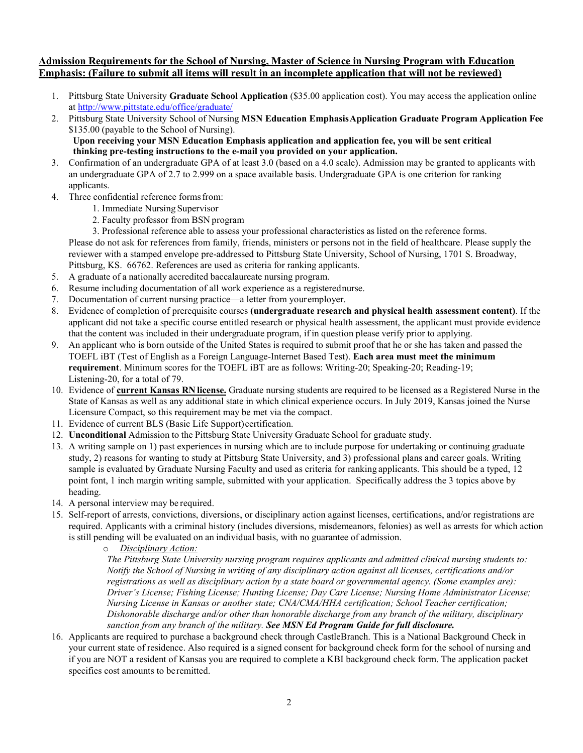#### **Admission Requirements for the School of Nursing, Master of Science in Nursing Program with Education Emphasis: (Failure to submit all items will result in an incomplete application that will not be reviewed)**

- 1. Pittsburg State University **Graduate School Application** (\$35.00 application cost). You may access the application online at<http://www.pittstate.edu/office/graduate/>
- 2. Pittsburg State University School of Nursing **MSN Education EmphasisApplication Graduate Program Application Fee**  \$135.00 (payable to the School of Nursing).  **Upon receiving your MSN Education Emphasis application and application fee, you will be sent critical**

**thinking pre-testing instructions to the e-mail you provided on your application.** 

- 3. Confirmation of an undergraduate GPA of at least 3.0 (based on a 4.0 scale). Admission may be granted to applicants with an undergraduate GPA of 2.7 to 2.999 on a space available basis. Undergraduate GPA is one criterion for ranking applicants.
- 4. Three confidential reference forms from:
	- 1. Immediate Nursing Supervisor
	- 2. Faculty professor from BSN program

3. Professional reference able to assess your professional characteristics as listed on the reference forms. Please do not ask for references from family, friends, ministers or persons not in the field of healthcare. Please supply the reviewer with a stamped envelope pre-addressed to Pittsburg State University, School of Nursing, 1701 S. Broadway, Pittsburg, KS. 66762. References are used as criteria for ranking applicants.

- 5. A graduate of a nationally accredited baccalaureate nursing program.
- 6. Resume including documentation of all work experience as a registerednurse.
- 7. Documentation of current nursing practice—a letter from youremployer.
- 8. Evidence of completion of prerequisite courses **(undergraduate research and physical health assessment content)**. If the applicant did not take a specific course entitled research or physical health assessment, the applicant must provide evidence that the content was included in their undergraduate program, if in question please verify prior to applying.
- 9. An applicant who is born outside of the United States is required to submit proof that he or she has taken and passed the TOEFL iBT (Test of English as a Foreign Language-Internet Based Test). **Each area must meet the minimum requirement**. Minimum scores for the TOEFL iBT are as follows: Writing-20; Speaking-20; Reading-19; Listening-20, for a total of 79.
- 10. Evidence of **current Kansas RN license.** Graduate nursing students are required to be licensed as a Registered Nurse in the State of Kansas as well as any additional state in which clinical experience occurs. In July 2019, Kansas joined the Nurse Licensure Compact, so this requirement may be met via the compact.
- 11. Evidence of current BLS (Basic Life Support)certification.
- 12. **Unconditional** Admission to the Pittsburg State University Graduate School for graduate study.
- 13. A writing sample on 1) past experiences in nursing which are to include purpose for undertaking or continuing graduate study, 2) reasons for wanting to study at Pittsburg State University, and 3) professional plans and career goals. Writing sample is evaluated by Graduate Nursing Faculty and used as criteria for ranking applicants. This should be a typed, 12 point font, 1 inch margin writing sample, submitted with your application. Specifically address the 3 topics above by heading.
- 14. A personal interview may be required.
- 15. Self-report of arrests, convictions, diversions, or disciplinary action against licenses, certifications, and/or registrations are required. Applicants with a criminal history (includes diversions, misdemeanors, felonies) as well as arrests for which action is still pending will be evaluated on an individual basis, with no guarantee of admission.

#### o *Disciplinary Action:*

*The Pittsburg State University nursing program requires applicants and admitted clinical nursing students to: Notify the School of Nursing in writing of any disciplinary action against all licenses, certifications and/or registrations as well as disciplinary action by a state board or governmental agency. (Some examples are): Driver's License; Fishing License; Hunting License; Day Care License; Nursing Home Administrator License; Nursing License in Kansas or another state; CNA/CMA/HHA certification; School Teacher certification; Dishonorable discharge and/or other than honorable discharge from any branch of the military, disciplinary sanction from any branch of the military. See MSN Ed Program Guide for full disclosure.*

16. Applicants are required to purchase a background check through CastleBranch. This is a National Background Check in your current state of residence. Also required is a signed consent for background check form for the school of nursing and if you are NOT a resident of Kansas you are required to complete a KBI background check form. The application packet specifies cost amounts to beremitted.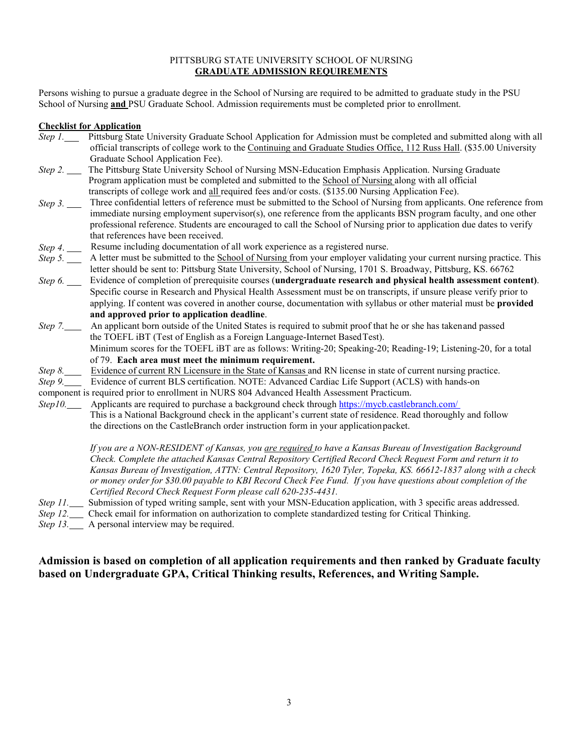#### PITTSBURG STATE UNIVERSITY SCHOOL OF NURSING **GRADUATE ADMISSION REQUIREMENTS**

Persons wishing to pursue a graduate degree in the School of Nursing are required to be admitted to graduate study in the PSU School of Nursing **and** PSU Graduate School. Admission requirements must be completed prior to enrollment.

#### **Checklist for Application**

- *Step 1.* Pittsburg State University Graduate School Application for Admission must be completed and submitted along with all official transcripts of college work to the Continuing and Graduate Studies Office, 112 Russ Hall. (\$35.00 University Graduate School Application Fee).
- *Step 2.* The Pittsburg State University School of Nursing MSN-Education Emphasis Application. Nursing Graduate Program application must be completed and submitted to the School of Nursing along with all official transcripts of college work and all required fees and/or costs. (\$135.00 Nursing Application Fee).
- *Step 3.* Three confidential letters of reference must be submitted to the School of Nursing from applicants. One reference from immediate nursing employment supervisor(s), one reference from the applicants BSN program faculty, and one other professional reference. Students are encouraged to call the School of Nursing prior to application due dates to verify that references have been received.
- *Step 4*. Resume including documentation of all work experience as a registered nurse.
- *Step 5.* A letter must be submitted to the **School of Nursing** from your employer validating your current nursing practice. This letter should be sent to: Pittsburg State University, School of Nursing, 1701 S. Broadway, Pittsburg, KS. 66762
- *Step 6.* Evidence of completion of prerequisite courses (**undergraduate research and physical health assessment content)**. Specific course in Research and Physical Health Assessment must be on transcripts, if unsure please verify prior to applying. If content was covered in another course, documentation with syllabus or other material must be **provided and approved prior to application deadline**.
- *Step 7.* An applicant born outside of the United States is required to submit proof that he or she has takenand passed the TOEFL iBT (Test of English as a Foreign Language-Internet BasedTest). Minimum scores for the TOEFL iBT are as follows: Writing-20; Speaking-20; Reading-19; Listening-20, for a total of 79. **Each area must meet the minimum requirement.**
- *Step* 8. Evidence of current RN Licensure in the State of Kansas and RN license in state of current nursing practice.
- *Step 9.* Evidence of current BLS certification. NOTE: Advanced Cardiac Life Support (ACLS) with hands-on
- component is required prior to enrollment in NURS 804 Advanced Health Assessment Practicum.
- *Step10.* Applicants are required to purchase a background check through https://mycb.castlebranch.com/ This is a National Background check in the applicant's current state of residence. Read thoroughly and follow the directions on the CastleBranch order instruction form in your applicationpacket.

*If you are a NON-RESIDENT of Kansas, you are required to have a Kansas Bureau of Investigation Background Check. Complete the attached Kansas Central Repository Certified Record Check Request Form and return it to Kansas Bureau of Investigation, ATTN: Central Repository, 1620 Tyler, Topeka, KS. 66612-1837 along with a check or money order for \$30.00 payable to KBI Record Check Fee Fund. If you have questions about completion of the Certified Record Check Request Form please call 620-235-4431.* 

- *Step 11.* Submission of typed writing sample, sent with your MSN-Education application, with 3 specific areas addressed.
- *Step 12.* Check email for information on authorization to complete standardized testing for Critical Thinking.

*Step* 13. A personal interview may be required.

#### **Admission is based on completion of all application requirements and then ranked by Graduate faculty based on Undergraduate GPA, Critical Thinking results, References, and Writing Sample.**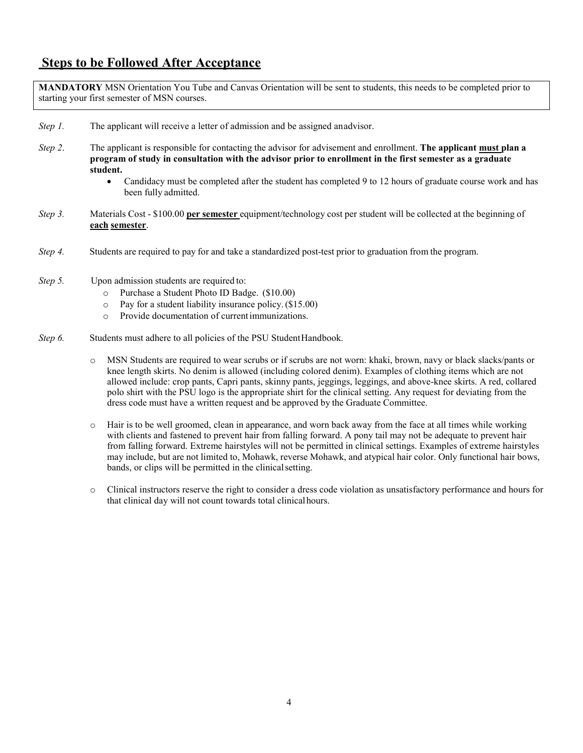#### **Steps to be Followed After Acceptance**

**MANDATORY** MSN Orientation You Tube and Canvas Orientation will be sent to students, this needs to be completed prior to starting your first semester of MSN courses.

- *Step 1.* The applicant will receive a letter of admission and be assigned anadvisor.
- *Step 2*. The applicant is responsible for contacting the advisor for advisement and enrollment. **The applicant must plan a program of study in consultation with the advisor prior to enrollment in the first semester as a graduate student.**
	- Candidacy must be completed after the student has completed 9 to 12 hours of graduate course work and has been fully admitted.
- *Step 3.* Materials Cost \$100.00 **per semester** equipment/technology cost per student will be collected at the beginning of **each semester**.
- *Step 4.* Students are required to pay for and take a standardized post-test prior to graduation from the program.
- *Step 5.* Upon admission students are required to:
	- o Purchase a Student Photo ID Badge. (\$10.00)
	- o Pay for a student liability insurance policy.(\$15.00)
	- o Provide documentation of currentimmunizations.
- *Step 6.* Students must adhere to all policies of the PSU Student Handbook.
	- o MSN Students are required to wear scrubs or if scrubs are not worn: khaki, brown, navy or black slacks/pants or knee length skirts. No denim is allowed (including colored denim). Examples of clothing items which are not allowed include: crop pants, Capri pants, skinny pants, jeggings, leggings, and above-knee skirts. A red, collared polo shirt with the PSU logo is the appropriate shirt for the clinical setting. Any request for deviating from the dress code must have a written request and be approved by the Graduate Committee.
	- o Hair is to be well groomed, clean in appearance, and worn back away from the face at all times while working with clients and fastened to prevent hair from falling forward. A pony tail may not be adequate to prevent hair from falling forward. Extreme hairstyles will not be permitted in clinical settings. Examples of extreme hairstyles may include, but are not limited to, Mohawk, reverse Mohawk, and atypical hair color. Only functional hair bows, bands, or clips will be permitted in the clinical setting.
	- o Clinical instructors reserve the right to consider a dress code violation as unsatisfactory performance and hours for that clinical day will not count towards total clinicalhours.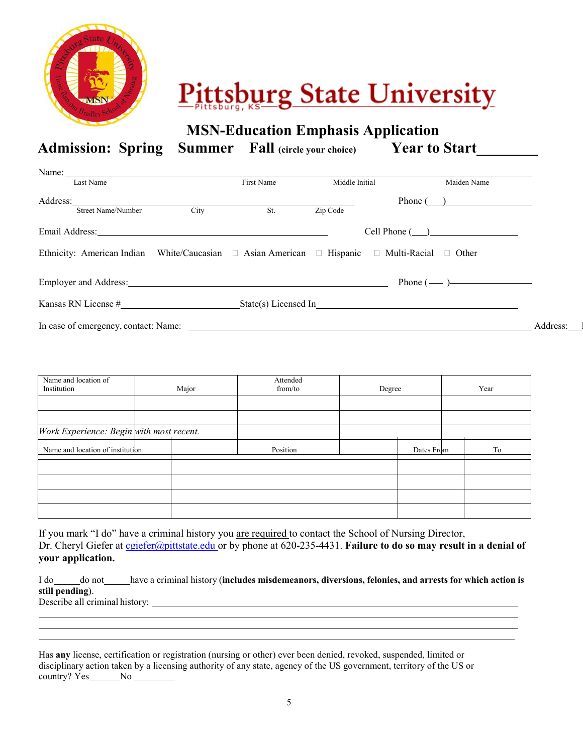

# **Pittsburg State University**

**MSN-Education Emphasis Application**

Admission: Spring Summer Fall (circle your choice) Year to Start

| Name: $\frac{1}{\sqrt{1-\frac{1}{2}}}\left\{ \frac{1}{2} + \frac{1}{2} \left( \frac{1}{2} + \frac{1}{2} \left( \frac{1}{2} + \frac{1}{2} \left( \frac{1}{2} + \frac{1}{2} \left( \frac{1}{2} + \frac{1}{2} \left( \frac{1}{2} + \frac{1}{2} \left( \frac{1}{2} + \frac{1}{2} \left( \frac{1}{2} + \frac{1}{2} \left( \frac{1}{2} + \frac{1}{2} \left( \frac{1}{2} + \frac{1}{2} \left( \frac{1}{2} + \frac{1}{2$ |                                                                                                                      |                                                                                                                      |                |                       |                                 |          |
|------------------------------------------------------------------------------------------------------------------------------------------------------------------------------------------------------------------------------------------------------------------------------------------------------------------------------------------------------------------------------------------------------------------|----------------------------------------------------------------------------------------------------------------------|----------------------------------------------------------------------------------------------------------------------|----------------|-----------------------|---------------------------------|----------|
| Last Name                                                                                                                                                                                                                                                                                                                                                                                                        |                                                                                                                      | First Name                                                                                                           | Middle Initial |                       | Maiden Name                     |          |
| Address:                                                                                                                                                                                                                                                                                                                                                                                                         | <u> 1980 - Jan Samuel Barbara, margaret e populazion del control del control del control del control de la provi</u> |                                                                                                                      |                |                       | Phone $\left(\_\_\_\_\_\_\_\_\$ |          |
| <b>Street Name/Number</b>                                                                                                                                                                                                                                                                                                                                                                                        | City                                                                                                                 | St.                                                                                                                  | Zip Code       |                       |                                 |          |
| Email Address: No. 1996. The Contract of the Contract of the Contract of the Contract of the Contract of the Contract of the Contract of the Contract of the Contract of the Contract of the Contract of the Contract of the C                                                                                                                                                                                   |                                                                                                                      |                                                                                                                      |                | $Cell$ Phone $(\_\_)$ |                                 |          |
| Ethnicity: American Indian White/Caucasian □ Asian American □ Hispanic □ Multi-Racial □ Other                                                                                                                                                                                                                                                                                                                    |                                                                                                                      |                                                                                                                      |                |                       |                                 |          |
| Employer and Address: <u>contract and a set of the set of the set of the set of the set of the set of the set of the set of the set of the set of the set of the set of the set of the set of the set of the set of the set of t</u>                                                                                                                                                                             |                                                                                                                      |                                                                                                                      |                |                       |                                 |          |
| Kansas RN License $\#$ State(s) Licensed In                                                                                                                                                                                                                                                                                                                                                                      |                                                                                                                      |                                                                                                                      |                |                       |                                 |          |
| In case of emergency, contact: Name:                                                                                                                                                                                                                                                                                                                                                                             |                                                                                                                      | <u> 1999 - Jan James James James James James James James James James James James James James James James James J</u> |                |                       |                                 | Address: |

| Name and location of<br>Institution      | Major | Attended<br>from/to | Degree |            | Year |
|------------------------------------------|-------|---------------------|--------|------------|------|
|                                          |       |                     |        |            |      |
|                                          |       |                     |        |            |      |
| Work Experience: Begin with most recent. |       |                     |        |            |      |
| Name and location of institution         |       | Position            |        | Dates From | To   |
|                                          |       |                     |        |            |      |
|                                          |       |                     |        |            |      |
|                                          |       |                     |        |            |      |
|                                          |       |                     |        |            |      |

If you mark "I do" have a criminal history you are required to contact the School of Nursing Director, Dr. Cheryl Giefer at [cgiefer@pittstate.edu o](mailto:cgiefer@pittstate.edu)r by phone at 620-235-4431. **Failure to do so may result in a denial of your application.**

I do do not have a criminal history (**includes misdemeanors, diversions, felonies, and arrests for which action is still pending**). Describe all criminal history:

Has **any** license, certification or registration (nursing or other) ever been denied, revoked, suspended, limited or disciplinary action taken by a licensing authority of any state, agency of the US government, territory of the US or country? Yes No No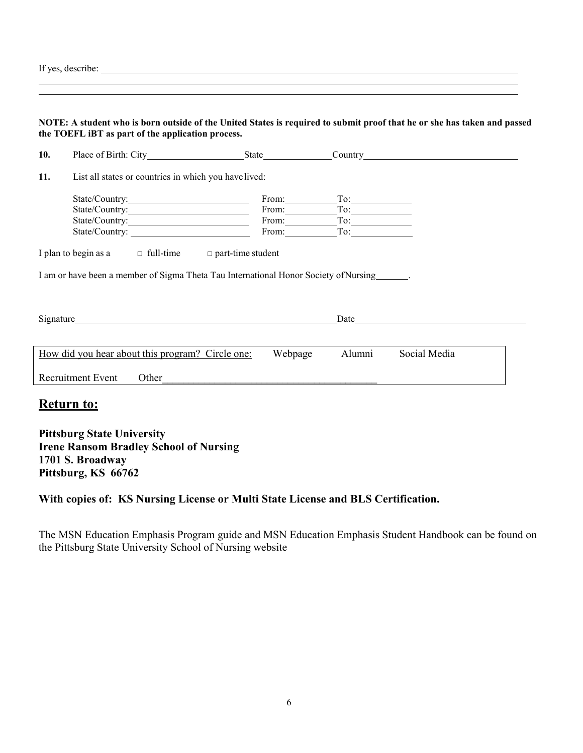| If yes, describe: |  |
|-------------------|--|
|                   |  |

|     | NOTE: A student who is born outside of the United States is required to submit proof that he or she has taken and passed<br>the TOEFL iBT as part of the application process.                                                  |                                                                                                                        |        |              |
|-----|--------------------------------------------------------------------------------------------------------------------------------------------------------------------------------------------------------------------------------|------------------------------------------------------------------------------------------------------------------------|--------|--------------|
| 10. |                                                                                                                                                                                                                                |                                                                                                                        |        |              |
| 11. | List all states or countries in which you have lived:                                                                                                                                                                          |                                                                                                                        |        |              |
|     | State/Country:<br>State/Country: From: To: To:                                                                                                                                                                                 | $From:$ To: To:                                                                                                        |        |              |
|     | I plan to begin as a $\Box$ full-time $\Box$ part-time student                                                                                                                                                                 |                                                                                                                        |        |              |
|     | I am or have been a member of Sigma Theta Tau International Honor Society of Nursing                                                                                                                                           |                                                                                                                        |        |              |
|     | Signature Secretary and the secretary secretary and the secretary secretary secretary and the secretary secretary secretary secretary secretary secretary secretary secretary secretary secretary secretary secretary secretar |                                                                                                                        |        |              |
|     | How did you hear about this program? Circle one:                                                                                                                                                                               | Webpage                                                                                                                | Alumni | Social Media |
|     | <b>Recruitment Event</b><br>Other                                                                                                                                                                                              | <u> 1989 - Andrea San Andrea San Andrea San Andrea San Andrea San Andrea San Andrea San Andrea San Andrea San Andr</u> |        |              |
|     | <u>Return to:</u>                                                                                                                                                                                                              |                                                                                                                        |        |              |
|     | <b>Pittsburg State University</b>                                                                                                                                                                                              |                                                                                                                        |        |              |

**Irene Ransom Bradley School of Nursing 1701 S. Broadway Pittsburg, KS 66762**

### **With copies of: KS Nursing License or Multi State License and BLS Certification.**

The MSN Education Emphasis Program guide and MSN Education Emphasis Student Handbook can be found on the Pittsburg State University School of Nursing website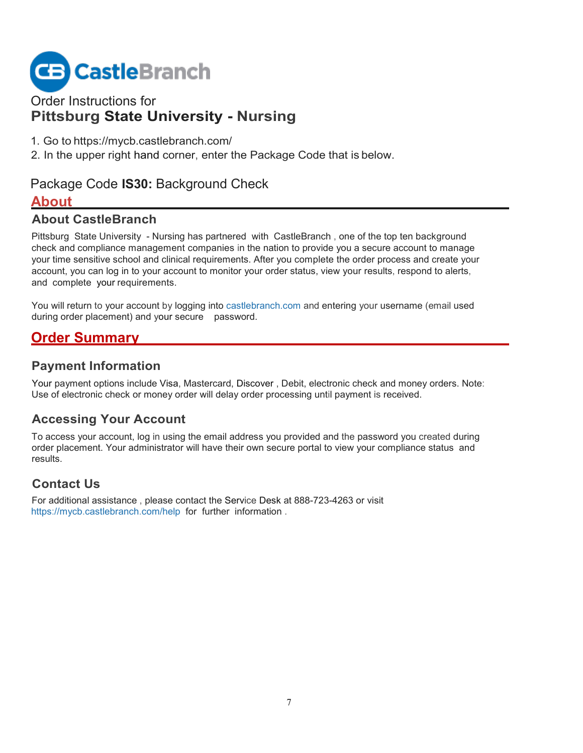

## Order Instructions for **Pittsburg State University - Nursing**

- 1. Go to https://mycb.castlebranch.com/
- 2. In the upper right hand corner, enter the Package Code that is below.

### Package Code **IS30:** Background Check

#### **About**

#### **About CastleBranch**

Pittsburg State University - Nursing has partnered with CastleBranch , one of the top ten background check and compliance management companies in the nation to provide you a secure account to manage your time sensitive school and clinical requirements. After you complete the order process and create your account, you can log in to your account to monitor your order status, view your results, respond to alerts, and complete your requirements.

You will return to your account by logging into castlebranch.com and entering your username (email used during order placement) and your secure password.

# **Order Summary**

#### **Payment Information**

Your payment options include Visa, Mastercard, Discover , Debit, electronic check and money orders. Note: Use of electronic check or money order will delay order processing until payment is received.

### **Accessing Your Account**

To access your account, log in using the email address you provided and the password you created during order placement. Your administrator will have their own secure portal to view your compliance status and results.

### **Contact Us**

For additional assistance , please contact the Service Desk at 888-723-4263 or visit https://mycb.castlebranch.com/help for further information .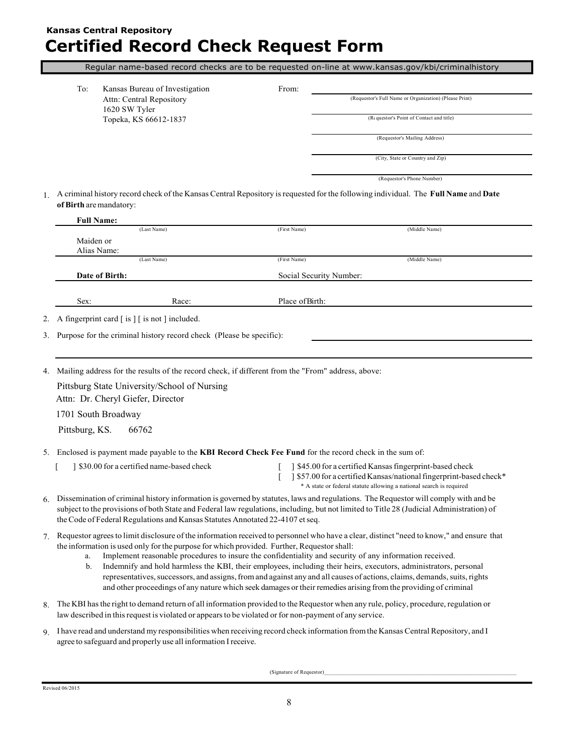### **Kansas Central Repository Certified Record Check Request Form**

Regular name-based record checks are to be requested on-line at [www.kansas.gov/kbi/criminalhistory](http://www.kansas.gov/kbi/criminalhistory)

| To: | Kansas Bureau of Investigation | From: |
|-----|--------------------------------|-------|
|     | Attn: Central Repository       |       |
|     | 1620 SW Tyler                  |       |
|     | Topeka, KS 66612-1837          |       |

(Requestor's Full Name or Organization) (Please Print)

 $(R \omega)$  (Requestor's Point of Contact and title)

(Requestor's Mailing Address)

(City, State or Country and Zip)

(Requestor's Phone Number)

1. A criminal history record check of the Kansas Central Repository isrequested for the following individual. The **Full Name** and **Date ofBirth** aremandatory:

|    |                                                                   | (Last Name)                                                                   | (First Name)                                                                                                 | (Middle Name)                                                                                                                               |
|----|-------------------------------------------------------------------|-------------------------------------------------------------------------------|--------------------------------------------------------------------------------------------------------------|---------------------------------------------------------------------------------------------------------------------------------------------|
|    | Maiden or                                                         |                                                                               |                                                                                                              |                                                                                                                                             |
|    | Alias Name:                                                       |                                                                               |                                                                                                              |                                                                                                                                             |
|    |                                                                   | (Last Name)                                                                   | (First Name)                                                                                                 | (Middle Name)                                                                                                                               |
|    | Date of Birth:                                                    |                                                                               | Social Security Number:                                                                                      |                                                                                                                                             |
|    | Sex:                                                              | Race:                                                                         | Place of Birth:                                                                                              |                                                                                                                                             |
| 2. | A fingerprint card $\lceil$ is $\rceil$ is not $\rceil$ included. |                                                                               |                                                                                                              |                                                                                                                                             |
|    |                                                                   | 3. Purpose for the criminal history record check (Please be specific):        |                                                                                                              |                                                                                                                                             |
|    |                                                                   |                                                                               |                                                                                                              |                                                                                                                                             |
|    |                                                                   |                                                                               |                                                                                                              |                                                                                                                                             |
| 4. |                                                                   |                                                                               | Mailing address for the results of the record check, if different from the "From" address, above:            |                                                                                                                                             |
|    |                                                                   |                                                                               |                                                                                                              |                                                                                                                                             |
|    |                                                                   | Pittsburg State University/School of Nursing                                  |                                                                                                              |                                                                                                                                             |
|    | Attn: Dr. Cheryl Giefer, Director                                 |                                                                               |                                                                                                              |                                                                                                                                             |
|    | 1701 South Broadway                                               |                                                                               |                                                                                                              |                                                                                                                                             |
|    | Pittsburg, KS.                                                    | 66762                                                                         |                                                                                                              |                                                                                                                                             |
| 5. |                                                                   |                                                                               | Enclosed is payment made payable to the <b>KBI Record Check Fee Fund</b> for the record check in the sum of: |                                                                                                                                             |
|    |                                                                   | 1 \$30.00 for a certified name-based check                                    |                                                                                                              | 1 \$45.00 for a certified Kansas fingerprint-based check                                                                                    |
|    |                                                                   |                                                                               |                                                                                                              | 1 \$57.00 for a certified Kansas/national fingerprint-based check*<br>* A state or federal statute allowing a national search is required   |
| 6. |                                                                   |                                                                               |                                                                                                              | Dissemination of criminal history information is governed by statutes, laws and regulations. The Requestor will comply with and be          |
|    |                                                                   |                                                                               |                                                                                                              | subject to the provisions of both State and Federal law regulations, including, but not limited to Title 28 (Judicial Administration) of    |
|    |                                                                   | the Code of Federal Regulations and Kansas Statutes Annotated 22-4107 et seq. |                                                                                                              |                                                                                                                                             |
|    |                                                                   |                                                                               |                                                                                                              | 7. Requestor agrees to limit disclosure of the information received to personnel who have a clear, distinct "need to know," and ensure that |
|    |                                                                   |                                                                               | the information is used only for the purpose for which provided. Further, Requestor shall:                   |                                                                                                                                             |
|    | a.                                                                |                                                                               | Implement reasonable procedures to insure the confidentiality and security of any information received.      |                                                                                                                                             |
|    | b.                                                                |                                                                               |                                                                                                              | Indemnify and hold harmless the KBI, their employees, including their heirs, executors, administrators, personal                            |
|    |                                                                   |                                                                               |                                                                                                              | representatives, successors, and assigns, from and against any and all causes of actions, claims, demands, suits, rights                    |

- 8. The KBI hasthe right to demand return of all information provided to theRequestor when any rule, policy, procedure, regulation or law described in thisrequest is violated or appearsto be violated or for non-payment of any service.
- 9. I have read and understand my responsibilities when receiving record check information fromthe Kansas Central Repository, and I agree to safeguard and properly use all information Ireceive.

(Signature of Requestor)\_\_\_\_\_\_\_\_\_\_\_\_\_\_\_\_\_\_\_\_\_\_\_\_\_\_\_\_\_\_\_\_\_\_\_\_\_\_\_\_\_\_\_\_\_\_\_\_\_\_\_\_\_\_\_\_\_\_\_\_\_\_\_\_\_\_\_\_\_\_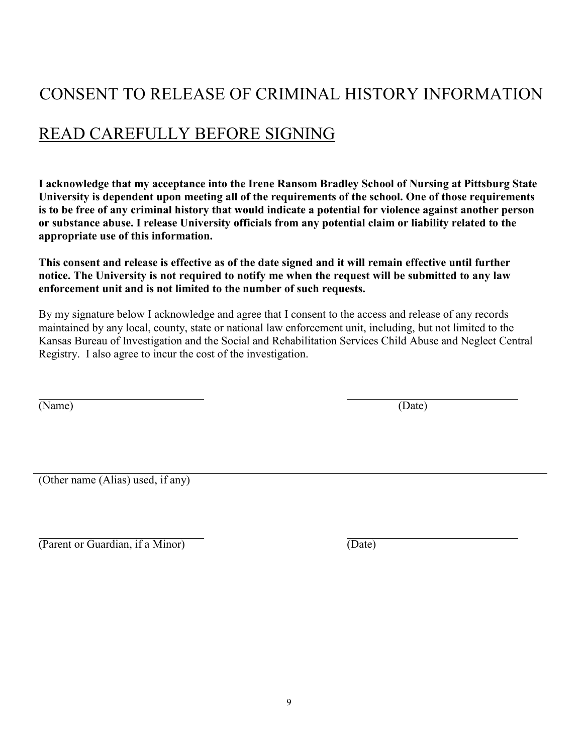# CONSENT TO RELEASE OF CRIMINAL HISTORY INFORMATION

# READ CAREFULLY BEFORE SIGNING

**I acknowledge that my acceptance into the Irene Ransom Bradley School of Nursing at Pittsburg State University is dependent upon meeting all of the requirements of the school. One of those requirements is to be free of any criminal history that would indicate a potential for violence against another person or substance abuse. I release University officials from any potential claim or liability related to the appropriate use of this information.**

**This consent and release is effective as of the date signed and it will remain effective until further notice. The University is not required to notify me when the request will be submitted to any law enforcement unit and is not limited to the number of such requests.**

By my signature below I acknowledge and agree that I consent to the access and release of any records maintained by any local, county, state or national law enforcement unit, including, but not limited to the Kansas Bureau of Investigation and the Social and Rehabilitation Services Child Abuse and Neglect Central Registry. I also agree to incur the cost of the investigation.

(Name) (Date)

(Other name (Alias) used, if any)

(Parent or Guardian, if a Minor) (Date)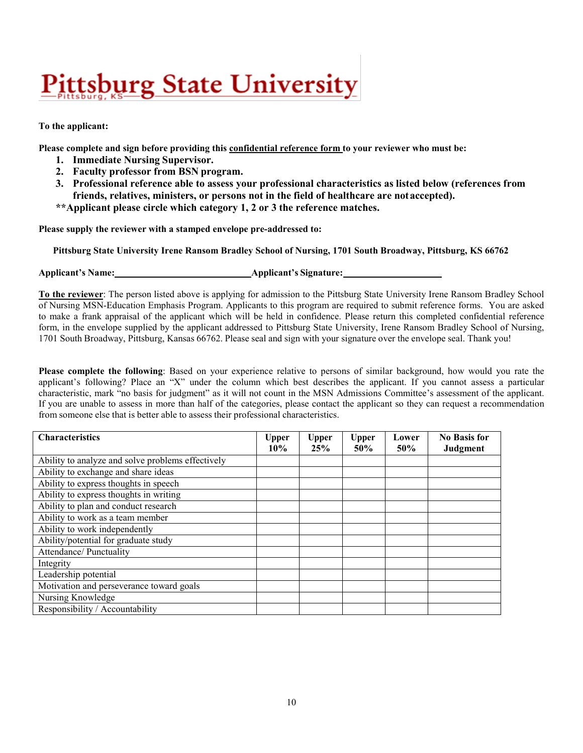# <u>Pittsburg State University</u>

#### **To the applicant:**

**Please complete and sign before providing this confidential reference form to your reviewer who must be:**

- **1. Immediate Nursing Supervisor.**
- **2. Faculty professor from BSN program.**
- **3. Professional reference able to assess your professional characteristics as listed below (references from friends, relatives, ministers, or persons not in the field of healthcare are notaccepted).**
- **\*\*Applicant please circle which category 1, 2 or 3 the reference matches.**

**Please supply the reviewer with a stamped envelope pre-addressed to:**

**Pittsburg State University Irene Ransom Bradley School of Nursing, 1701 South Broadway, Pittsburg, KS 66762** 

**Applicant's Name: Applicant's Signature:**

**To the reviewer**: The person listed above is applying for admission to the Pittsburg State University Irene Ransom Bradley School of Nursing MSN-Education Emphasis Program. Applicants to this program are required to submit reference forms. You are asked to make a frank appraisal of the applicant which will be held in confidence. Please return this completed confidential reference form, in the envelope supplied by the applicant addressed to Pittsburg State University, Irene Ransom Bradley School of Nursing, 1701 South Broadway, Pittsburg, Kansas 66762. Please seal and sign with your signature over the envelope seal. Thank you!

**Please complete the following**: Based on your experience relative to persons of similar background, how would you rate the applicant's following? Place an "X" under the column which best describes the applicant. If you cannot assess a particular characteristic, mark "no basis for judgment" as it will not count in the MSN Admissions Committee's assessment of the applicant. If you are unable to assess in more than half of the categories, please contact the applicant so they can request a recommendation from someone else that is better able to assess their professional characteristics.

| <b>Characteristics</b>                            | <b>Upper</b><br>10% | <b>Upper</b><br>25% | <b>Upper</b><br>50% | Lower<br>50% | <b>No Basis for</b><br>Judgment |
|---------------------------------------------------|---------------------|---------------------|---------------------|--------------|---------------------------------|
| Ability to analyze and solve problems effectively |                     |                     |                     |              |                                 |
| Ability to exchange and share ideas               |                     |                     |                     |              |                                 |
| Ability to express thoughts in speech             |                     |                     |                     |              |                                 |
| Ability to express thoughts in writing            |                     |                     |                     |              |                                 |
| Ability to plan and conduct research              |                     |                     |                     |              |                                 |
| Ability to work as a team member                  |                     |                     |                     |              |                                 |
| Ability to work independently                     |                     |                     |                     |              |                                 |
| Ability/potential for graduate study              |                     |                     |                     |              |                                 |
| Attendance/ Punctuality                           |                     |                     |                     |              |                                 |
| Integrity                                         |                     |                     |                     |              |                                 |
| Leadership potential                              |                     |                     |                     |              |                                 |
| Motivation and perseverance toward goals          |                     |                     |                     |              |                                 |
| Nursing Knowledge                                 |                     |                     |                     |              |                                 |
| Responsibility / Accountability                   |                     |                     |                     |              |                                 |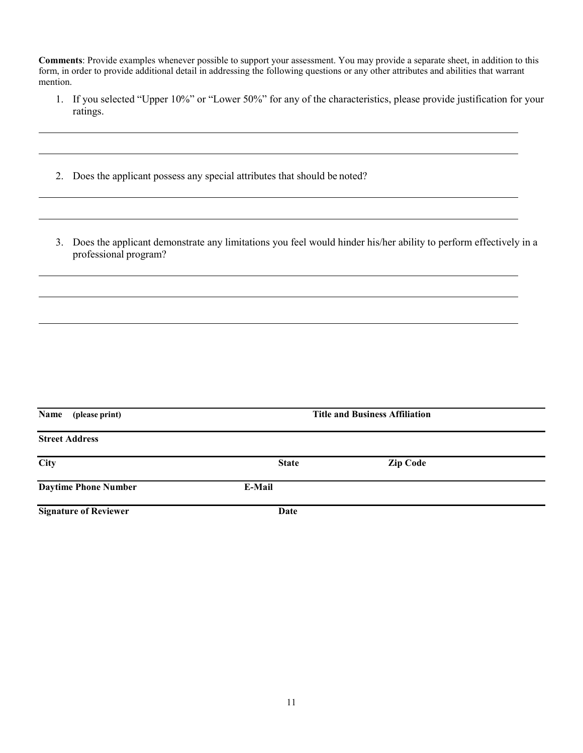**Comments**: Provide examples whenever possible to support your assessment. You may provide a separate sheet, in addition to this form, in order to provide additional detail in addressing the following questions or any other attributes and abilities that warrant mention.

- 1. If you selected "Upper 10%" or "Lower 50%" for any of the characteristics, please provide justification for your ratings.
- 2. Does the applicant possess any special attributes that should be noted?
- 3. Does the applicant demonstrate any limitations you feel would hinder his/her ability to perform effectively in a professional program?

| Name (please print)          | <b>Title and Business Affiliation</b> |                 |  |  |
|------------------------------|---------------------------------------|-----------------|--|--|
| <b>Street Address</b>        |                                       |                 |  |  |
| <b>City</b>                  | <b>State</b>                          | <b>Zip Code</b> |  |  |
| <b>Daytime Phone Number</b>  | E-Mail                                |                 |  |  |
| <b>Signature of Reviewer</b> | Date                                  |                 |  |  |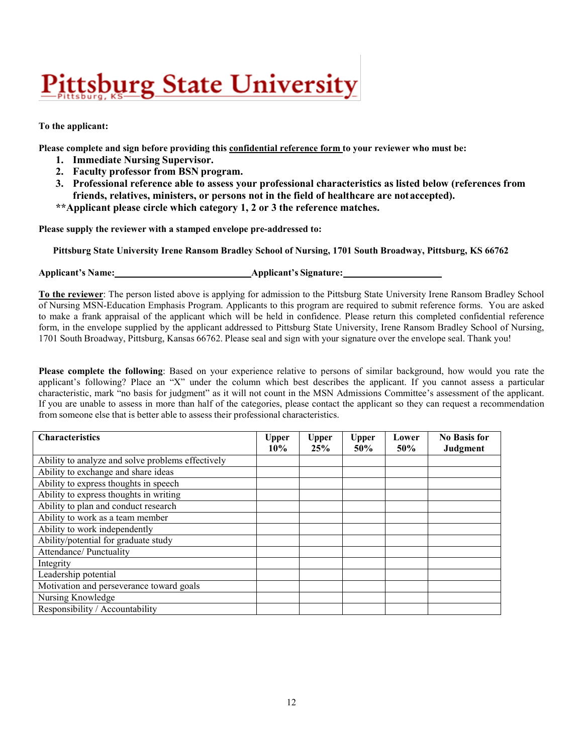# <u>Pittsburg State University</u>

#### **To the applicant:**

**Please complete and sign before providing this confidential reference form to your reviewer who must be:**

- **1. Immediate Nursing Supervisor.**
- **2. Faculty professor from BSN program.**
- **3. Professional reference able to assess your professional characteristics as listed below (references from friends, relatives, ministers, or persons not in the field of healthcare are notaccepted).**
- **\*\*Applicant please circle which category 1, 2 or 3 the reference matches.**

**Please supply the reviewer with a stamped envelope pre-addressed to:**

**Pittsburg State University Irene Ransom Bradley School of Nursing, 1701 South Broadway, Pittsburg, KS 66762** 

**Applicant's Name: Applicant's Signature:**

**To the reviewer**: The person listed above is applying for admission to the Pittsburg State University Irene Ransom Bradley School of Nursing MSN-Education Emphasis Program. Applicants to this program are required to submit reference forms. You are asked to make a frank appraisal of the applicant which will be held in confidence. Please return this completed confidential reference form, in the envelope supplied by the applicant addressed to Pittsburg State University, Irene Ransom Bradley School of Nursing, 1701 South Broadway, Pittsburg, Kansas 66762. Please seal and sign with your signature over the envelope seal. Thank you!

**Please complete the following**: Based on your experience relative to persons of similar background, how would you rate the applicant's following? Place an "X" under the column which best describes the applicant. If you cannot assess a particular characteristic, mark "no basis for judgment" as it will not count in the MSN Admissions Committee's assessment of the applicant. If you are unable to assess in more than half of the categories, please contact the applicant so they can request a recommendation from someone else that is better able to assess their professional characteristics.

| <b>Characteristics</b>                            | Upper<br>$10\%$ | <b>Upper</b><br>25% | <b>Upper</b><br>50% | Lower<br>50% | <b>No Basis for</b><br>Judgment |
|---------------------------------------------------|-----------------|---------------------|---------------------|--------------|---------------------------------|
| Ability to analyze and solve problems effectively |                 |                     |                     |              |                                 |
| Ability to exchange and share ideas               |                 |                     |                     |              |                                 |
| Ability to express thoughts in speech             |                 |                     |                     |              |                                 |
| Ability to express thoughts in writing            |                 |                     |                     |              |                                 |
| Ability to plan and conduct research              |                 |                     |                     |              |                                 |
| Ability to work as a team member                  |                 |                     |                     |              |                                 |
| Ability to work independently                     |                 |                     |                     |              |                                 |
| Ability/potential for graduate study              |                 |                     |                     |              |                                 |
| Attendance/ Punctuality                           |                 |                     |                     |              |                                 |
| Integrity                                         |                 |                     |                     |              |                                 |
| Leadership potential                              |                 |                     |                     |              |                                 |
| Motivation and perseverance toward goals          |                 |                     |                     |              |                                 |
| Nursing Knowledge                                 |                 |                     |                     |              |                                 |
| Responsibility / Accountability                   |                 |                     |                     |              |                                 |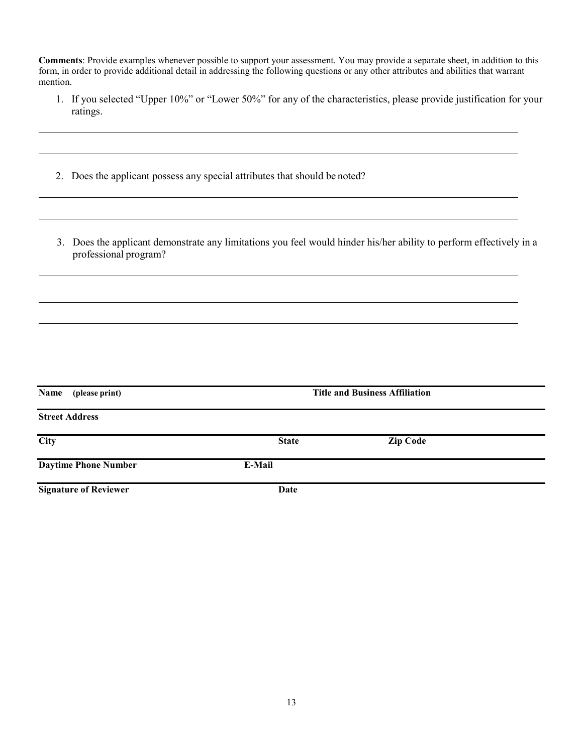**Comments**: Provide examples whenever possible to support your assessment. You may provide a separate sheet, in addition to this form, in order to provide additional detail in addressing the following questions or any other attributes and abilities that warrant mention.

- 1. If you selected "Upper 10%" or "Lower 50%" for any of the characteristics, please provide justification for your ratings.
- 2. Does the applicant possess any special attributes that should be noted?
- 3. Does the applicant demonstrate any limitations you feel would hinder his/her ability to perform effectively in a professional program?

| Name<br>(please print)       |              | <b>Title and Business Affiliation</b> |  |
|------------------------------|--------------|---------------------------------------|--|
| <b>Street Address</b>        |              |                                       |  |
| City                         | <b>State</b> | <b>Zip Code</b>                       |  |
| <b>Daytime Phone Number</b>  | E-Mail       |                                       |  |
| <b>Signature of Reviewer</b> | Date         |                                       |  |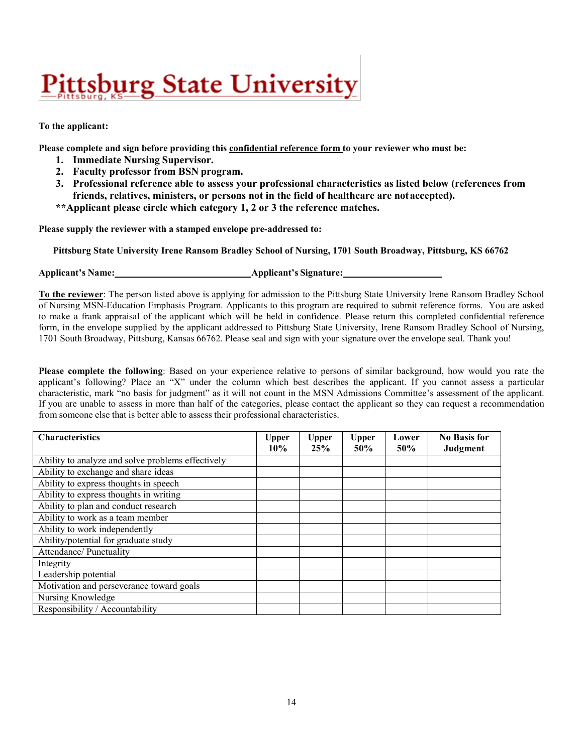# <u>Pittsburg State University</u>

#### **To the applicant:**

**Please complete and sign before providing this confidential reference form to your reviewer who must be:**

- **1. Immediate Nursing Supervisor.**
- **2. Faculty professor from BSN program.**
- **3. Professional reference able to assess your professional characteristics as listed below (references from friends, relatives, ministers, or persons not in the field of healthcare are notaccepted).**
- **\*\*Applicant please circle which category 1, 2 or 3 the reference matches.**

**Please supply the reviewer with a stamped envelope pre-addressed to:**

**Pittsburg State University Irene Ransom Bradley School of Nursing, 1701 South Broadway, Pittsburg, KS 66762** 

**Applicant's Name: Applicant's Signature:**

**To the reviewer**: The person listed above is applying for admission to the Pittsburg State University Irene Ransom Bradley School of Nursing MSN-Education Emphasis Program. Applicants to this program are required to submit reference forms. You are asked to make a frank appraisal of the applicant which will be held in confidence. Please return this completed confidential reference form, in the envelope supplied by the applicant addressed to Pittsburg State University, Irene Ransom Bradley School of Nursing, 1701 South Broadway, Pittsburg, Kansas 66762. Please seal and sign with your signature over the envelope seal. Thank you!

**Please complete the following**: Based on your experience relative to persons of similar background, how would you rate the applicant's following? Place an "X" under the column which best describes the applicant. If you cannot assess a particular characteristic, mark "no basis for judgment" as it will not count in the MSN Admissions Committee's assessment of the applicant. If you are unable to assess in more than half of the categories, please contact the applicant so they can request a recommendation from someone else that is better able to assess their professional characteristics.

| <b>Characteristics</b>                            | <b>Upper</b><br>$10\%$ | <b>Upper</b><br>25% | <b>Upper</b><br><b>50%</b> | Lower<br>50% | <b>No Basis for</b><br>Judgment |
|---------------------------------------------------|------------------------|---------------------|----------------------------|--------------|---------------------------------|
| Ability to analyze and solve problems effectively |                        |                     |                            |              |                                 |
| Ability to exchange and share ideas               |                        |                     |                            |              |                                 |
| Ability to express thoughts in speech             |                        |                     |                            |              |                                 |
| Ability to express thoughts in writing            |                        |                     |                            |              |                                 |
| Ability to plan and conduct research              |                        |                     |                            |              |                                 |
| Ability to work as a team member                  |                        |                     |                            |              |                                 |
| Ability to work independently                     |                        |                     |                            |              |                                 |
| Ability/potential for graduate study              |                        |                     |                            |              |                                 |
| Attendance/ Punctuality                           |                        |                     |                            |              |                                 |
| Integrity                                         |                        |                     |                            |              |                                 |
| Leadership potential                              |                        |                     |                            |              |                                 |
| Motivation and perseverance toward goals          |                        |                     |                            |              |                                 |
| Nursing Knowledge                                 |                        |                     |                            |              |                                 |
| Responsibility / Accountability                   |                        |                     |                            |              |                                 |